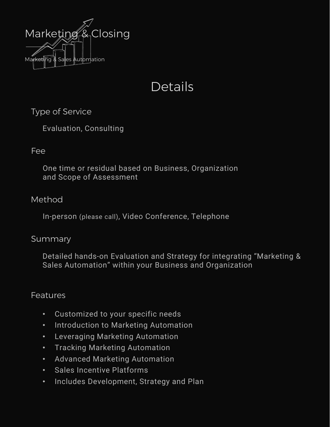

# Details

# Type of Service

Evaluation, Consulting

# Fee

One time or residual based on Business, Organization and Scope of Assessment

# Method

In-person (please call), Video Conference, Telephone

#### Summary

Detailed hands-on Evaluation and Strategy for integrating "Marketing & Sales Automation" within your Business and Organization

# Features

- Customized to your specific needs
- Introduction to Marketing Automation
- Leveraging Marketing Automation
- Tracking Marketing Automation
- Advanced Marketing Automation
- Sales Incentive Platforms
- Includes Development, Strategy and Plan